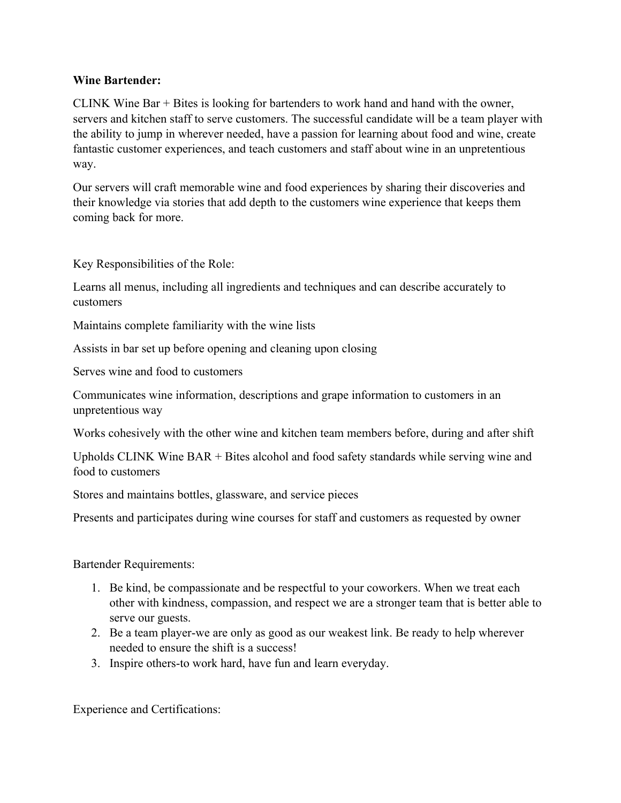## **Wine Bartender:**

CLINK Wine Bar + Bites is looking for bartenders to work hand and hand with the owner, servers and kitchen staff to serve customers. The successful candidate will be a team player with the ability to jump in wherever needed, have a passion for learning about food and wine, create fantastic customer experiences, and teach customers and staff about wine in an unpretentious way.

Our servers will craft memorable wine and food experiences by sharing their discoveries and their knowledge via stories that add depth to the customers wine experience that keeps them coming back for more.

Key Responsibilities of the Role:

Learns all menus, including all ingredients and techniques and can describe accurately to customers

Maintains complete familiarity with the wine lists

Assists in bar set up before opening and cleaning upon closing

Serves wine and food to customers

Communicates wine information, descriptions and grape information to customers in an unpretentious way

Works cohesively with the other wine and kitchen team members before, during and after shift

Upholds CLINK Wine BAR + Bites alcohol and food safety standards while serving wine and food to customers

Stores and maintains bottles, glassware, and service pieces

Presents and participates during wine courses for staff and customers as requested by owner

Bartender Requirements:

- 1. Be kind, be compassionate and be respectful to your coworkers. When we treat each other with kindness, compassion, and respect we are a stronger team that is better able to serve our guests.
- 2. Be a team player-we are only as good as our weakest link. Be ready to help wherever needed to ensure the shift is a success!
- 3. Inspire others-to work hard, have fun and learn everyday.

Experience and Certifications: